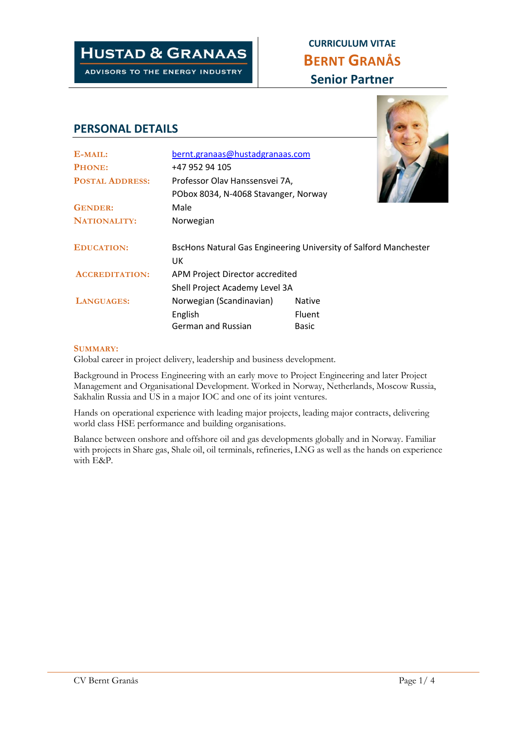# **HUSTAD & GRANAAS**

ADVISORS TO THE ENERGY INDUSTRY

## **CURRICULUM VITAE BERNT GRANÅS Senior Partner**

### **PERSONAL DETAILS**

| E-MAIL:                | bernt.granaas@hustadgranaas.com                                                |               |  |
|------------------------|--------------------------------------------------------------------------------|---------------|--|
| PHONE:                 | +47 952 94 105                                                                 |               |  |
| <b>POSTAL ADDRESS:</b> | Professor Olav Hanssensvei 7A,                                                 |               |  |
|                        | PObox 8034, N-4068 Stavanger, Norway                                           |               |  |
| <b>GENDER:</b>         | Male                                                                           |               |  |
| <b>NATIONALITY:</b>    | Norwegian                                                                      |               |  |
| <b>EDUCATION:</b>      | <b>BscHons Natural Gas Engineering University of Salford Manchester</b><br>UK. |               |  |
| <b>ACCREDITATION:</b>  | APM Project Director accredited                                                |               |  |
|                        | Shell Project Academy Level 3A                                                 |               |  |
| LANGUAGES:             | Norwegian (Scandinavian)                                                       | <b>Native</b> |  |
|                        | English                                                                        | Fluent        |  |
|                        | <b>German and Russian</b>                                                      | <b>Basic</b>  |  |

#### **SUMMARY:**

Global career in project delivery, leadership and business development.

Background in Process Engineering with an early move to Project Engineering and later Project Management and Organisational Development. Worked in Norway, Netherlands, Moscow Russia, Sakhalin Russia and US in a major IOC and one of its joint ventures.

Hands on operational experience with leading major projects, leading major contracts, delivering world class HSE performance and building organisations.

Balance between onshore and offshore oil and gas developments globally and in Norway. Familiar with projects in Share gas, Shale oil, oil terminals, refineries, LNG as well as the hands on experience with E&P.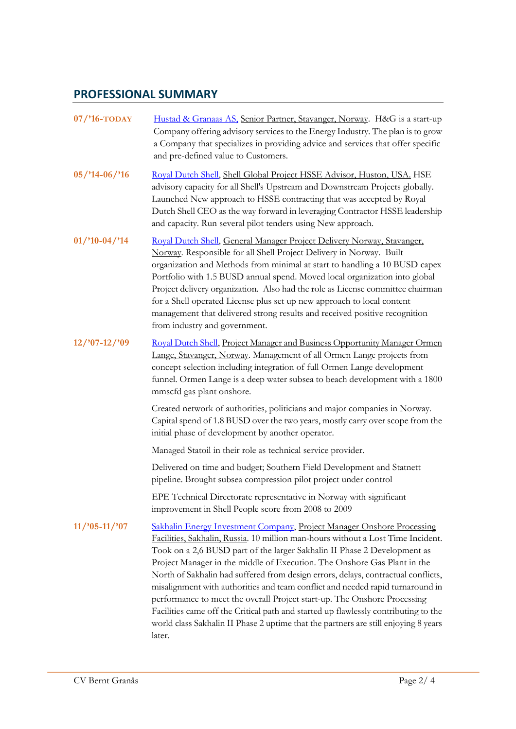### **PROFESSIONAL SUMMARY**

| $07$ /'16-TODAY  | Hustad & Granaas AS, Senior Partner, Stavanger, Norway. H&G is a start-up<br>Company offering advisory services to the Energy Industry. The plan is to grow<br>a Company that specializes in providing advice and services that offer specific<br>and pre-defined value to Customers.                                                                                                                                                                                                                                                                                                                                                                                                                                                                         |
|------------------|---------------------------------------------------------------------------------------------------------------------------------------------------------------------------------------------------------------------------------------------------------------------------------------------------------------------------------------------------------------------------------------------------------------------------------------------------------------------------------------------------------------------------------------------------------------------------------------------------------------------------------------------------------------------------------------------------------------------------------------------------------------|
| $05/14-06/16$    | Royal Dutch Shell, Shell Global Project HSSE Advisor, Huston, USA. HSE<br>advisory capacity for all Shell's Upstream and Downstream Projects globally.<br>Launched New approach to HSSE contracting that was accepted by Royal<br>Dutch Shell CEO as the way forward in leveraging Contractor HSSE leadership<br>and capacity. Run several pilot tenders using New approach.                                                                                                                                                                                                                                                                                                                                                                                  |
| $01$ /'10-04/'14 | Royal Dutch Shell, General Manager Project Delivery Norway, Stavanger,<br>Norway. Responsible for all Shell Project Delivery in Norway. Built<br>organization and Methods from minimal at start to handling a 10 BUSD capex<br>Portfolio with 1.5 BUSD annual spend. Moved local organization into global<br>Project delivery organization. Also had the role as License committee chairman<br>for a Shell operated License plus set up new approach to local content<br>management that delivered strong results and received positive recognition<br>from industry and government.                                                                                                                                                                          |
| $12/97-12/99$    | Royal Dutch Shell, Project Manager and Business Opportunity Manager Ormen<br>Lange, Stavanger, Norway. Management of all Ormen Lange projects from<br>concept selection including integration of full Ormen Lange development<br>funnel. Ormen Lange is a deep water subsea to beach development with a 1800<br>mmscfd gas plant onshore.                                                                                                                                                                                                                                                                                                                                                                                                                     |
|                  | Created network of authorities, politicians and major companies in Norway.<br>Capital spend of 1.8 BUSD over the two years, mostly carry over scope from the<br>initial phase of development by another operator.                                                                                                                                                                                                                                                                                                                                                                                                                                                                                                                                             |
|                  | Managed Statoil in their role as technical service provider.                                                                                                                                                                                                                                                                                                                                                                                                                                                                                                                                                                                                                                                                                                  |
|                  | Delivered on time and budget; Southern Field Development and Statnett<br>pipeline. Brought subsea compression pilot project under control                                                                                                                                                                                                                                                                                                                                                                                                                                                                                                                                                                                                                     |
|                  | EPE Technical Directorate representative in Norway with significant<br>improvement in Shell People score from 2008 to 2009                                                                                                                                                                                                                                                                                                                                                                                                                                                                                                                                                                                                                                    |
| $11/95 - 11/97$  | Sakhalin Energy Investment Company, Project Manager Onshore Processing<br>Facilities, Sakhalin, Russia. 10 million man-hours without a Lost Time Incident.<br>Took on a 2,6 BUSD part of the larger Sakhalin II Phase 2 Development as<br>Project Manager in the middle of Execution. The Onshore Gas Plant in the<br>North of Sakhalin had suffered from design errors, delays, contractual conflicts,<br>misalignment with authorities and team conflict and needed rapid turnaround in<br>performance to meet the overall Project start-up. The Onshore Processing<br>Facilities came off the Critical path and started up flawlessly contributing to the<br>world class Sakhalin II Phase 2 uptime that the partners are still enjoying 8 years<br>later. |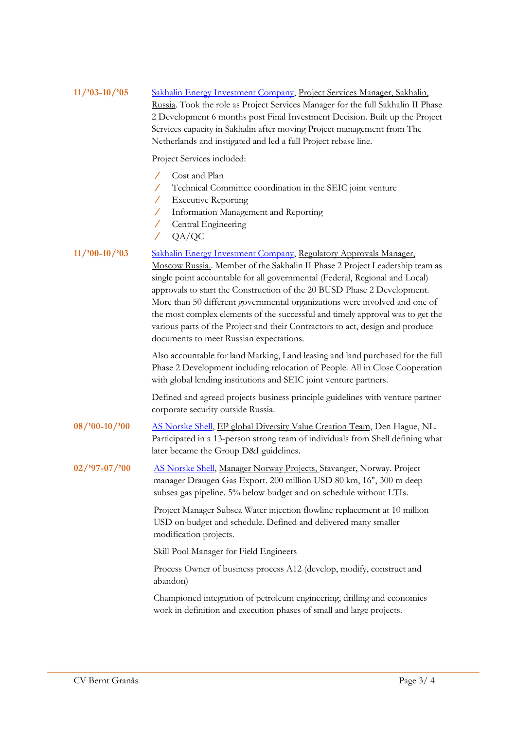| $11/93-10/95$                       | Sakhalin Energy Investment Company, Project Services Manager, Sakhalin,<br>Russia. Took the role as Project Services Manager for the full Sakhalin II Phase<br>2 Development 6 months post Final Investment Decision. Built up the Project<br>Services capacity in Sakhalin after moving Project management from The<br>Netherlands and instigated and led a full Project rebase line.                                                                                                                                                                                                                |
|-------------------------------------|-------------------------------------------------------------------------------------------------------------------------------------------------------------------------------------------------------------------------------------------------------------------------------------------------------------------------------------------------------------------------------------------------------------------------------------------------------------------------------------------------------------------------------------------------------------------------------------------------------|
|                                     | Project Services included:                                                                                                                                                                                                                                                                                                                                                                                                                                                                                                                                                                            |
|                                     | Cost and Plan<br>Technical Committee coordination in the SEIC joint venture<br>$\mathcal{L}^{\mathbb{R}}$<br><b>Executive Reporting</b><br>7.<br>Information Management and Reporting<br>Γ<br>Central Engineering<br>$\sqrt{2}$<br>QA/QC<br>Γ                                                                                                                                                                                                                                                                                                                                                         |
| $11/90-10/93$                       | Sakhalin Energy Investment Company, Regulatory Approvals Manager,<br>Moscow Russia Member of the Sakhalin II Phase 2 Project Leadership team as<br>single point accountable for all governmental (Federal, Regional and Local)<br>approvals to start the Construction of the 20 BUSD Phase 2 Development.<br>More than 50 different governmental organizations were involved and one of<br>the most complex elements of the successful and timely approval was to get the<br>various parts of the Project and their Contractors to act, design and produce<br>documents to meet Russian expectations. |
|                                     | Also accountable for land Marking, Land leasing and land purchased for the full<br>Phase 2 Development including relocation of People. All in Close Cooperation<br>with global lending institutions and SEIC joint venture partners.                                                                                                                                                                                                                                                                                                                                                                  |
|                                     | Defined and agreed projects business principle guidelines with venture partner<br>corporate security outside Russia.                                                                                                                                                                                                                                                                                                                                                                                                                                                                                  |
| $08/{}^{\prime}00-10/{}^{\prime}00$ | AS Norske Shell, EP global Diversity Value Creation Team, Den Hague, NL.<br>Participated in a 13-person strong team of individuals from Shell defining what<br>later became the Group D&I guidelines.                                                                                                                                                                                                                                                                                                                                                                                                 |
| $02$ /'97-07/'00                    | AS Norske Shell, Manager Norway Projects, Stavanger, Norway. Project<br>manager Draugen Gas Export. 200 million USD 80 km, 16", 300 m deep<br>subsea gas pipeline. 5% below budget and on schedule without LTIs.                                                                                                                                                                                                                                                                                                                                                                                      |
|                                     | Project Manager Subsea Water injection flowline replacement at 10 million<br>USD on budget and schedule. Defined and delivered many smaller<br>modification projects.                                                                                                                                                                                                                                                                                                                                                                                                                                 |
|                                     | Skill Pool Manager for Field Engineers                                                                                                                                                                                                                                                                                                                                                                                                                                                                                                                                                                |
|                                     | Process Owner of business process A12 (develop, modify, construct and<br>abandon)                                                                                                                                                                                                                                                                                                                                                                                                                                                                                                                     |
|                                     | Championed integration of petroleum engineering, drilling and economics<br>work in definition and execution phases of small and large projects.                                                                                                                                                                                                                                                                                                                                                                                                                                                       |